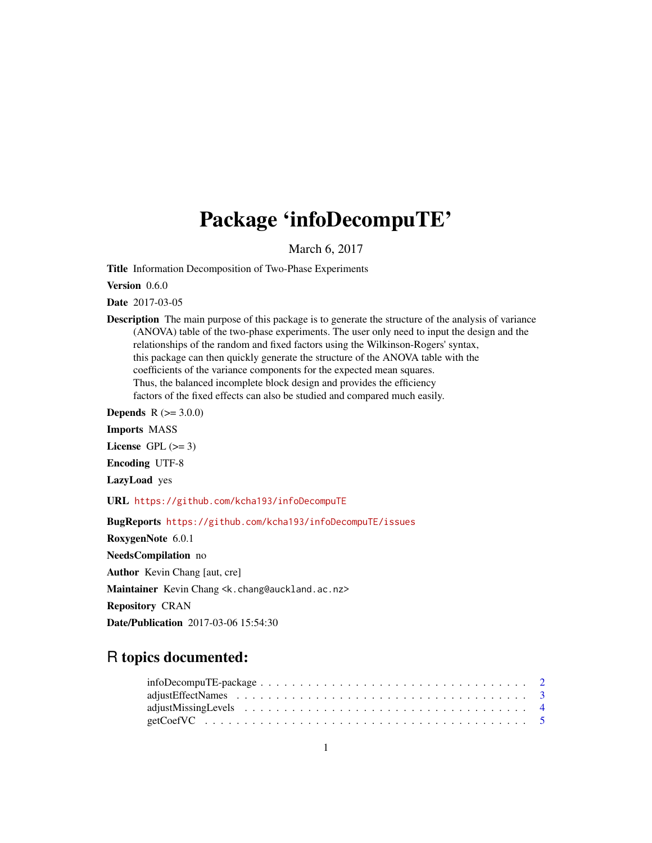# Package 'infoDecompuTE'

March 6, 2017

<span id="page-0-0"></span>Title Information Decomposition of Two-Phase Experiments

Version 0.6.0

Date 2017-03-05

Description The main purpose of this package is to generate the structure of the analysis of variance (ANOVA) table of the two-phase experiments. The user only need to input the design and the relationships of the random and fixed factors using the Wilkinson-Rogers' syntax, this package can then quickly generate the structure of the ANOVA table with the coefficients of the variance components for the expected mean squares. Thus, the balanced incomplete block design and provides the efficiency factors of the fixed effects can also be studied and compared much easily.

**Depends**  $R (= 3.0.0)$ 

Imports MASS

License GPL  $(>= 3)$ 

Encoding UTF-8

LazyLoad yes

URL <https://github.com/kcha193/infoDecompuTE>

BugReports <https://github.com/kcha193/infoDecompuTE/issues>

RoxygenNote 6.0.1

NeedsCompilation no

Author Kevin Chang [aut, cre]

Maintainer Kevin Chang <k.chang@auckland.ac.nz>

Repository CRAN

Date/Publication 2017-03-06 15:54:30

# R topics documented: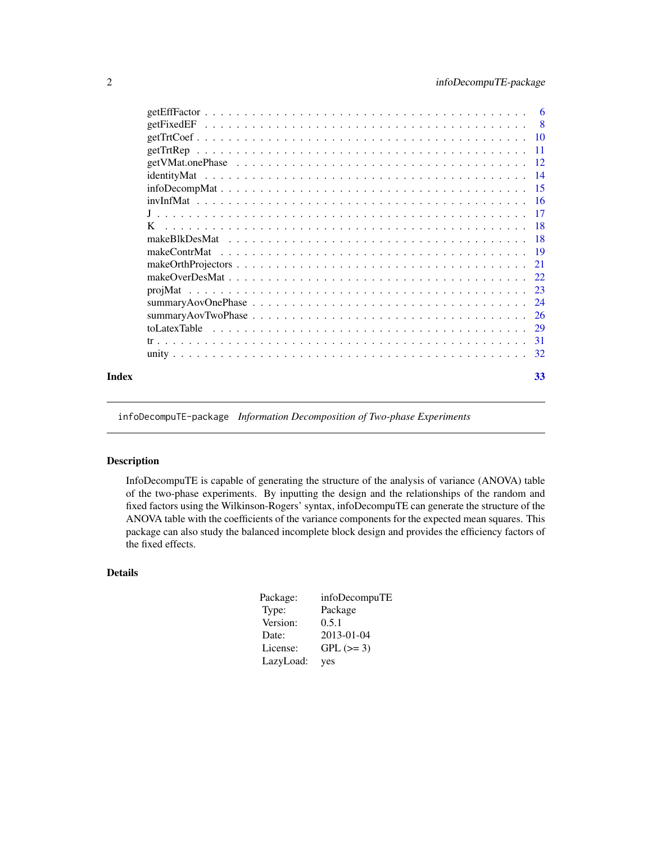<span id="page-1-0"></span>

| Index | 33 |
|-------|----|

infoDecompuTE-package *Information Decomposition of Two-phase Experiments*

# Description

InfoDecompuTE is capable of generating the structure of the analysis of variance (ANOVA) table of the two-phase experiments. By inputting the design and the relationships of the random and fixed factors using the Wilkinson-Rogers' syntax, infoDecompuTE can generate the structure of the ANOVA table with the coefficients of the variance components for the expected mean squares. This package can also study the balanced incomplete block design and provides the efficiency factors of the fixed effects.

# Details

| Package:  | infoDecompuTE |
|-----------|---------------|
| Type:     | Package       |
| Version:  | 0.5.1         |
| Date:     | 2013-01-04    |
| License:  | $GPL (=3)$    |
| LazyLoad: | yes           |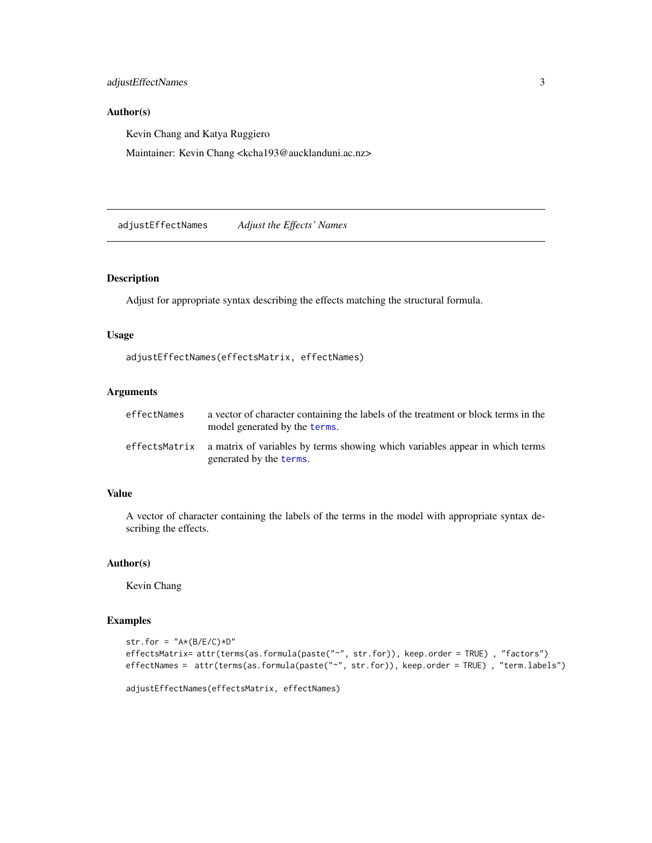<span id="page-2-0"></span>adjustEffectNames 3

## Author(s)

Kevin Chang and Katya Ruggiero

Maintainer: Kevin Chang <kcha193@aucklanduni.ac.nz>

adjustEffectNames *Adjust the Effects' Names*

#### Description

Adjust for appropriate syntax describing the effects matching the structural formula.

# Usage

adjustEffectNames(effectsMatrix, effectNames)

# Arguments

| effectNames | a vector of character containing the labels of the treatment or block terms in the<br>model generated by the terms.   |
|-------------|-----------------------------------------------------------------------------------------------------------------------|
|             | effectsMatrix a matrix of variables by terms showing which variables appear in which terms<br>generated by the terms. |

#### Value

A vector of character containing the labels of the terms in the model with appropriate syntax describing the effects.

#### Author(s)

Kevin Chang

```
str.for = "A*(B/E/C)*D"effectsMatrix= attr(terms(as.formula(paste("~", str.for)), keep.order = TRUE), "factors")
effectNames = attr(terms(as.formula(paste("~", str.for)), keep.order = TRUE) , "term.labels")
```

```
adjustEffectNames(effectsMatrix, effectNames)
```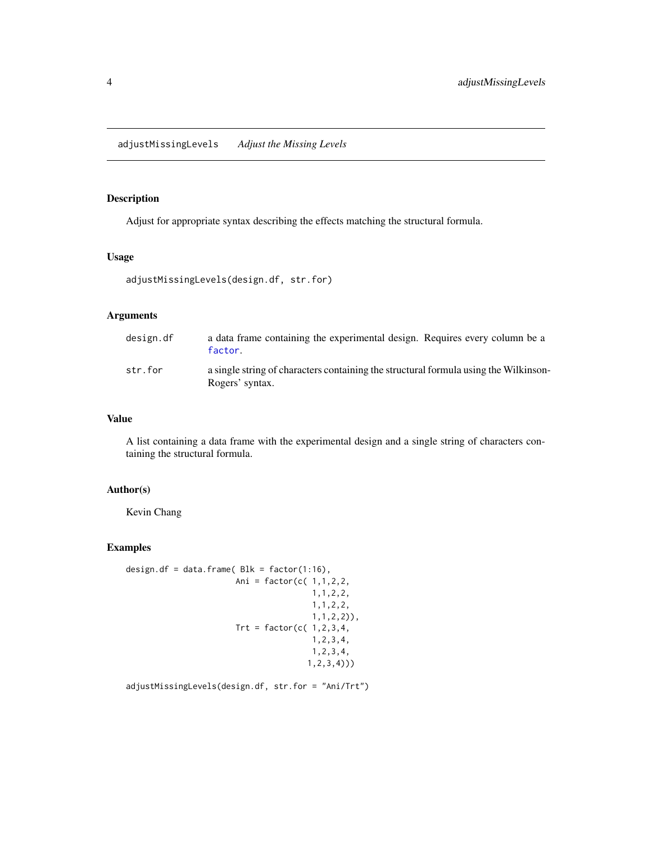# <span id="page-3-0"></span>Description

Adjust for appropriate syntax describing the effects matching the structural formula.

# Usage

```
adjustMissingLevels(design.df, str.for)
```
# Arguments

| design.df | a data frame containing the experimental design. Requires every column be a<br>factor.                  |
|-----------|---------------------------------------------------------------------------------------------------------|
| str.for   | a single string of characters containing the structural formula using the Wilkinson-<br>Rogers' syntax. |

#### Value

A list containing a data frame with the experimental design and a single string of characters containing the structural formula.

# Author(s)

Kevin Chang

#### Examples

```
design.df = data.frame(Blk = factor(1:16),
                       Ani = factor(c( 1,1,2,2,
                                       1,1,2,2,
                                       1,1,2,2,
                                       1,1,2,2)),
                       Trt = factor(c( 1, 2, 3, 4,1,2,3,4,
                                       1,2,3,4,
                                      1,2,3,4)))
```
adjustMissingLevels(design.df, str.for = "Ani/Trt")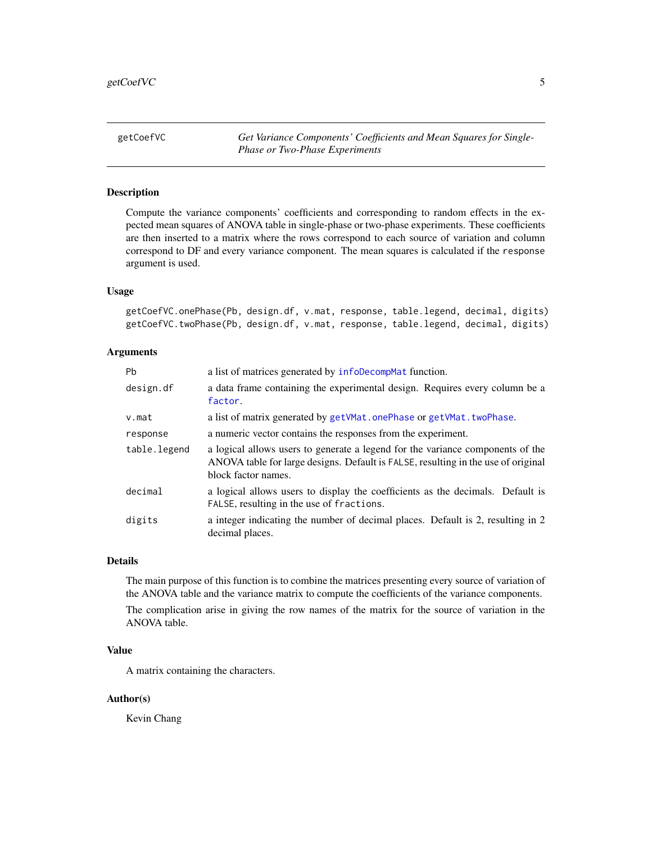<span id="page-4-0"></span>getCoefVC *Get Variance Components' Coefficients and Mean Squares for Single-Phase or Two-Phase Experiments*

# <span id="page-4-1"></span>Description

Compute the variance components' coefficients and corresponding to random effects in the expected mean squares of ANOVA table in single-phase or two-phase experiments. These coefficients are then inserted to a matrix where the rows correspond to each source of variation and column correspond to DF and every variance component. The mean squares is calculated if the response argument is used.

#### Usage

getCoefVC.onePhase(Pb, design.df, v.mat, response, table.legend, decimal, digits) getCoefVC.twoPhase(Pb, design.df, v.mat, response, table.legend, decimal, digits)

# Arguments

| Pb           | a list of matrices generated by infoDecompMat function.                                                                                                                                    |
|--------------|--------------------------------------------------------------------------------------------------------------------------------------------------------------------------------------------|
| design.df    | a data frame containing the experimental design. Requires every column be a<br>factor.                                                                                                     |
| $v$ . mat    | a list of matrix generated by getVMat.onePhase or getVMat.twoPhase.                                                                                                                        |
| response     | a numeric vector contains the responses from the experiment.                                                                                                                               |
| table.legend | a logical allows users to generate a legend for the variance components of the<br>ANOVA table for large designs. Default is FALSE, resulting in the use of original<br>block factor names. |
| decimal      | a logical allows users to display the coefficients as the decimals. Default is<br>FALSE, resulting in the use of fractions.                                                                |
| digits       | a integer indicating the number of decimal places. Default is 2, resulting in 2<br>decimal places.                                                                                         |

#### Details

The main purpose of this function is to combine the matrices presenting every source of variation of the ANOVA table and the variance matrix to compute the coefficients of the variance components.

The complication arise in giving the row names of the matrix for the source of variation in the ANOVA table.

#### Value

A matrix containing the characters.

#### Author(s)

Kevin Chang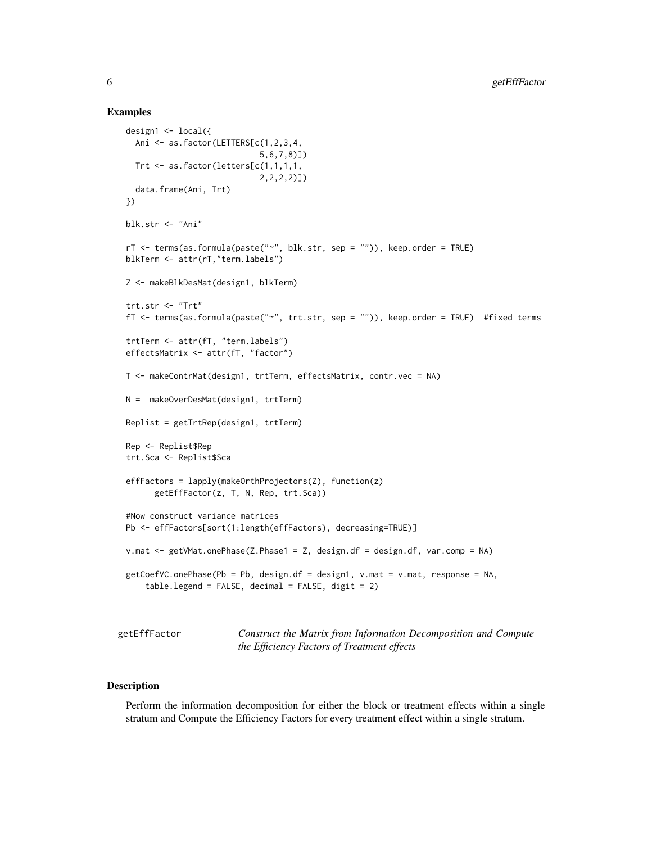#### Examples

```
design1 <- local({
  Ani <- as.factor(LETTERS[c(1,2,3,4,
                            5,6,7,8)])
  Trt \leq as. factor(letters[c(1,1,1,1,
                            2,2,2,2)])
  data.frame(Ani, Trt)
})
blk.str <- "Ani"
rT <- terms(as.formula(paste("~", blk.str, sep = "")), keep.order = TRUE)
blkTerm <- attr(rT,"term.labels")
Z <- makeBlkDesMat(design1, blkTerm)
trt.str <- "Trt"
fT <- terms(as.formula(paste("~", trt.str, sep = "")), keep.order = TRUE) #fixed terms
trtTerm <- attr(fT, "term.labels")
effectsMatrix <- attr(fT, "factor")
T <- makeContrMat(design1, trtTerm, effectsMatrix, contr.vec = NA)
N = makeOverDesMat(design1, trtTerm)
Replist = getTrtRep(design1, trtTerm)
Rep <- Replist$Rep
trt.Sca <- Replist$Sca
effFactors = lapply(makeOrthProjectors(Z), function(z)
      getEffFactor(z, T, N, Rep, trt.Sca))
#Now construct variance matrices
Pb <- effFactors[sort(1:length(effFactors), decreasing=TRUE)]
v.mat <- getVMat.onePhase(Z.Phase1 = Z, design.df = design.df, var.comp = NA)
getCoefVC.onePhase(Pb = Pb, design.df = design1, v.mat = v.mat, response = NA,
    table.length = FALSE, decimal = FALSE, digit = 2)
```
<span id="page-5-1"></span>getEffFactor *Construct the Matrix from Information Decomposition and Compute the Efficiency Factors of Treatment effects*

#### Description

Perform the information decomposition for either the block or treatment effects within a single stratum and Compute the Efficiency Factors for every treatment effect within a single stratum.

<span id="page-5-0"></span>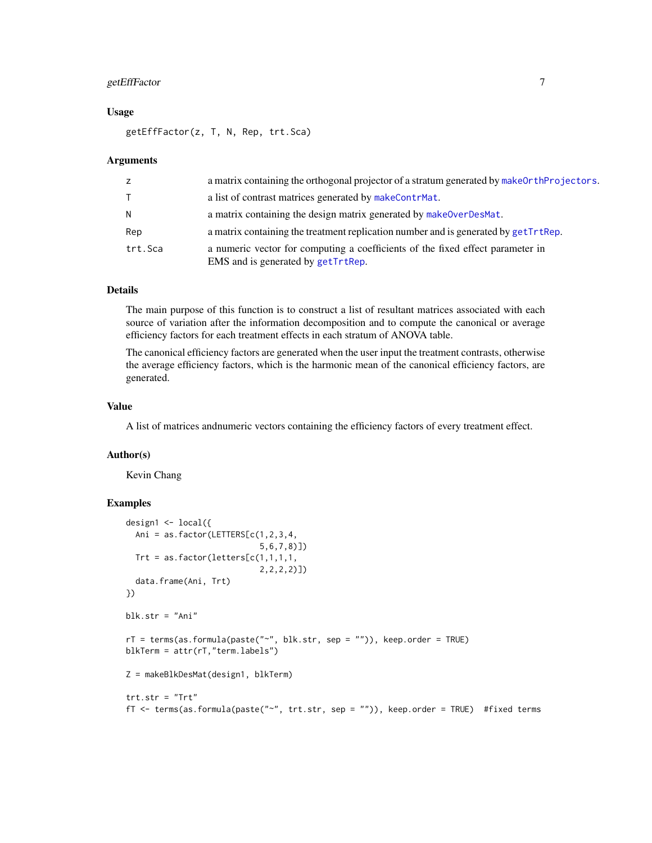#### <span id="page-6-0"></span>getEffFactor 7

#### Usage

getEffFactor(z, T, N, Rep, trt.Sca)

#### Arguments

| z            | a matrix containing the orthogonal projector of a stratum generated by make OrthProjectors.                          |
|--------------|----------------------------------------------------------------------------------------------------------------------|
| $\mathsf{T}$ | a list of contrast matrices generated by makeContrMat.                                                               |
| N.           | a matrix containing the design matrix generated by makeOverDesMat.                                                   |
| Rep          | a matrix containing the treatment replication number and is generated by getTrtRep.                                  |
| trt.Sca      | a numeric vector for computing a coefficients of the fixed effect parameter in<br>EMS and is generated by getTrtRep. |

#### Details

The main purpose of this function is to construct a list of resultant matrices associated with each source of variation after the information decomposition and to compute the canonical or average efficiency factors for each treatment effects in each stratum of ANOVA table.

The canonical efficiency factors are generated when the user input the treatment contrasts, otherwise the average efficiency factors, which is the harmonic mean of the canonical efficiency factors, are generated.

#### Value

A list of matrices andnumeric vectors containing the efficiency factors of every treatment effect.

#### Author(s)

Kevin Chang

```
design1 <- local({
 Ani = as.factor(LETTERS[c(1,2,3,4,5,6,7,8)])
 Trt = as.factor(letters[c(1,1,1,1,
                           2,2,2,2)])
 data.frame(Ani, Trt)
})
blk.str = "Ani"
rT = \text{terms}(as.format(a) | a) = f(x, y), keep.order = TRUE)
blkTerm = attr(rT,"term.labels")
Z = makeBlkDesMat(design1, blkTerm)
trt.str = "Trt"
fT <- terms(as.formula(paste("~", trt.str, sep = "")), keep.order = TRUE) #fixed terms
```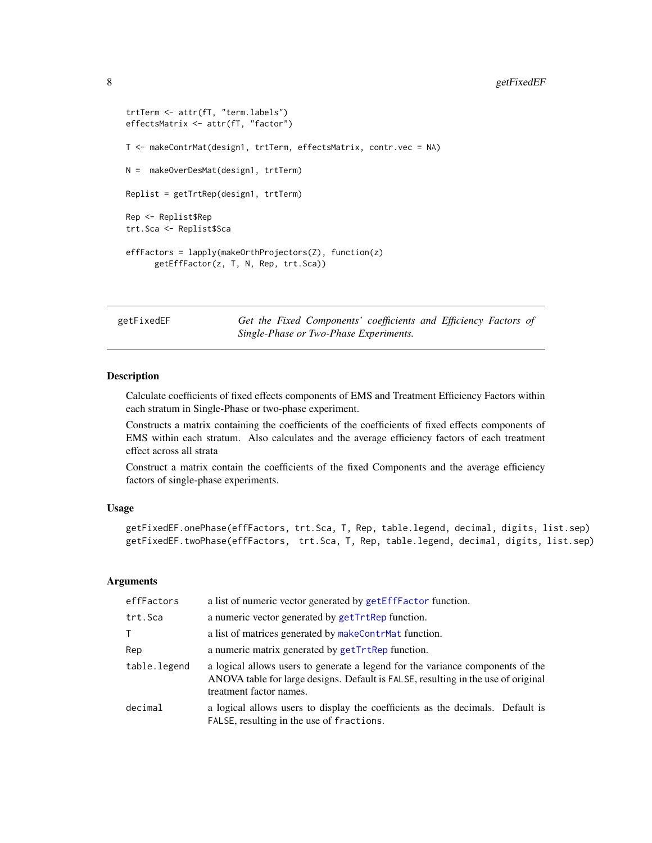#### <span id="page-7-0"></span>8 getFixedEF

```
trtTerm <- attr(fT, "term.labels")
effectsMatrix <- attr(fT, "factor")
T <- makeContrMat(design1, trtTerm, effectsMatrix, contr.vec = NA)
N = makeOverDesMat(design1, trtTerm)
Replist = getTrtRep(design1, trtTerm)
Rep <- Replist$Rep
trt.Sca <- Replist$Sca
effFactors = lapply(makeOrthProjectors(Z), function(z)
      getEffFactor(z, T, N, Rep, trt.Sca))
```
getFixedEF *Get the Fixed Components' coefficients and Efficiency Factors of Single-Phase or Two-Phase Experiments.*

#### <span id="page-7-1"></span>**Description**

Calculate coefficients of fixed effects components of EMS and Treatment Efficiency Factors within each stratum in Single-Phase or two-phase experiment.

Constructs a matrix containing the coefficients of the coefficients of fixed effects components of EMS within each stratum. Also calculates and the average efficiency factors of each treatment effect across all strata

Construct a matrix contain the coefficients of the fixed Components and the average efficiency factors of single-phase experiments.

#### Usage

```
getFixedEF.onePhase(effFactors, trt.Sca, T, Rep, table.legend, decimal, digits, list.sep)
getFixedEF.twoPhase(effFactors, trt.Sca, T, Rep, table.legend, decimal, digits, list.sep)
```
#### Arguments

| effFactors   | a list of numeric vector generated by getEffFactor function.                                                                                                                                   |
|--------------|------------------------------------------------------------------------------------------------------------------------------------------------------------------------------------------------|
| trt.Sca      | a numeric vector generated by getTrtRep function.                                                                                                                                              |
| T.           | a list of matrices generated by makeContrMat function.                                                                                                                                         |
| Rep          | a numeric matrix generated by getTrtRep function.                                                                                                                                              |
| table.legend | a logical allows users to generate a legend for the variance components of the<br>ANOVA table for large designs. Default is FALSE, resulting in the use of original<br>treatment factor names. |
| decimal      | a logical allows users to display the coefficients as the decimals. Default is<br>FALSE, resulting in the use of fractions.                                                                    |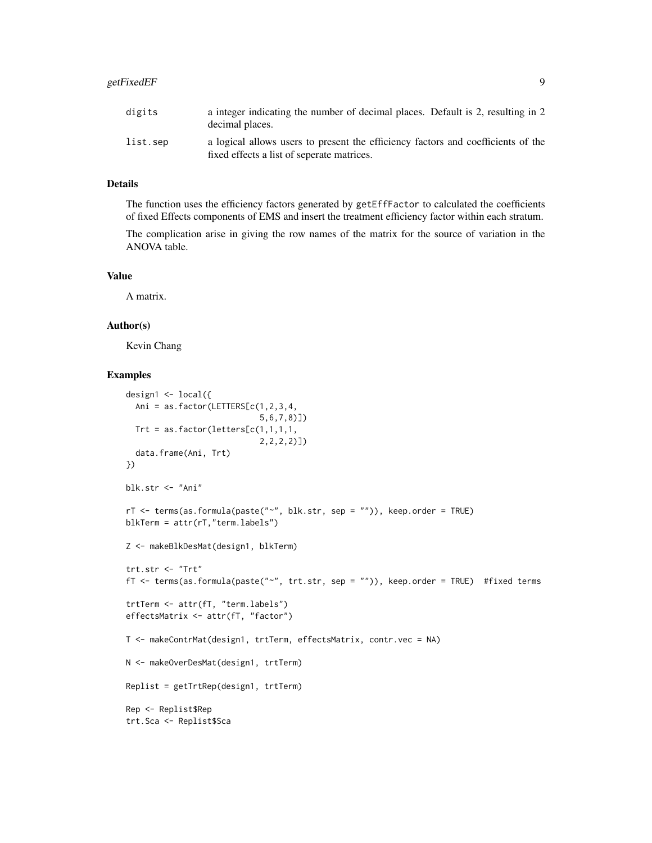# getFixedEF 9

## Details

The function uses the efficiency factors generated by getEffFactor to calculated the coefficients of fixed Effects components of EMS and insert the treatment efficiency factor within each stratum.

The complication arise in giving the row names of the matrix for the source of variation in the ANOVA table.

# Value

A matrix.

#### Author(s)

Kevin Chang

```
design1 <- local({
  Ani = as.factor(LETTERS[c(1,2,3,4,
                            5,6,7,8)])
  Trt = as.factor(letters[c(1,1,1,1,
                            2,2,2,2)])
  data.frame(Ani, Trt)
})
blk.str <- "Ani"
rT <- terms(as.formula(paste("~", blk.str, sep = "")), keep.order = TRUE)
blkTerm = attr(rT,"term.labels")
Z <- makeBlkDesMat(design1, blkTerm)
trt.str <- "Trt"
fT <- terms(as.formula(paste("~", trt.str, sep = "")), keep.order = TRUE) #fixed terms
trtTerm <- attr(fT, "term.labels")
effectsMatrix <- attr(fT, "factor")
T <- makeContrMat(design1, trtTerm, effectsMatrix, contr.vec = NA)
N <- makeOverDesMat(design1, trtTerm)
Replist = getTrtRep(design1, trtTerm)
Rep <- Replist$Rep
trt.Sca <- Replist$Sca
```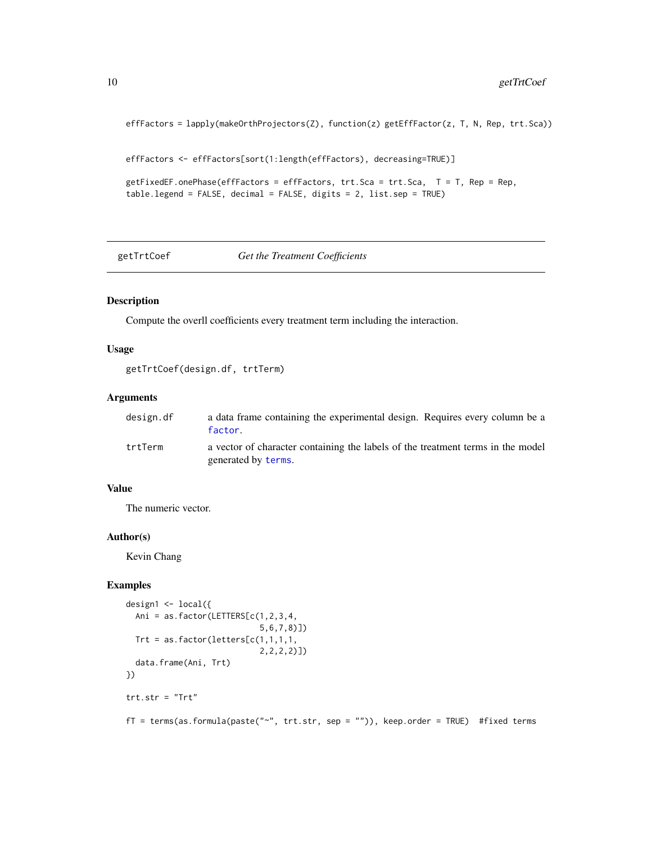```
effFactors = lapply(makeOrthProjectors(Z), function(z) getEffFactor(z, T, N, Rep, trt.Sca))
```

```
effFactors <- effFactors[sort(1:length(effFactors), decreasing=TRUE)]
```

```
getFixedEF.onePhase(effFactors = effFactors, trt.Sca = trt.Sca, T = T, Rep = Rep,
table.legend = FALSE, decimal = FALSE, digits = 2, list.sep = TRUE)
```
getTrtCoef *Get the Treatment Coefficients*

#### Description

Compute the overll coefficients every treatment term including the interaction.

#### Usage

```
getTrtCoef(design.df, trtTerm)
```
# Arguments

| design.df | a data frame containing the experimental design. Requires every column be a<br>factor.                 |
|-----------|--------------------------------------------------------------------------------------------------------|
| trtTerm   | a vector of character containing the labels of the treatment terms in the model<br>generated by terms. |

#### Value

The numeric vector.

#### Author(s)

Kevin Chang

```
design1 \leftarrow local(f)Ani = as.factor(LETTERS[c(1,2,3,4,
                             5,6,7,8)])
 Trt = as.factor(letters[c(1,1,1,1,
                             2,2,2,2)])
  data.frame(Ani, Trt)
})
trt.str = "Trt"
fT = terms(as.formula(paste("~", trt.str, sep = "")), keep.order = TRUE) #fixed terms
```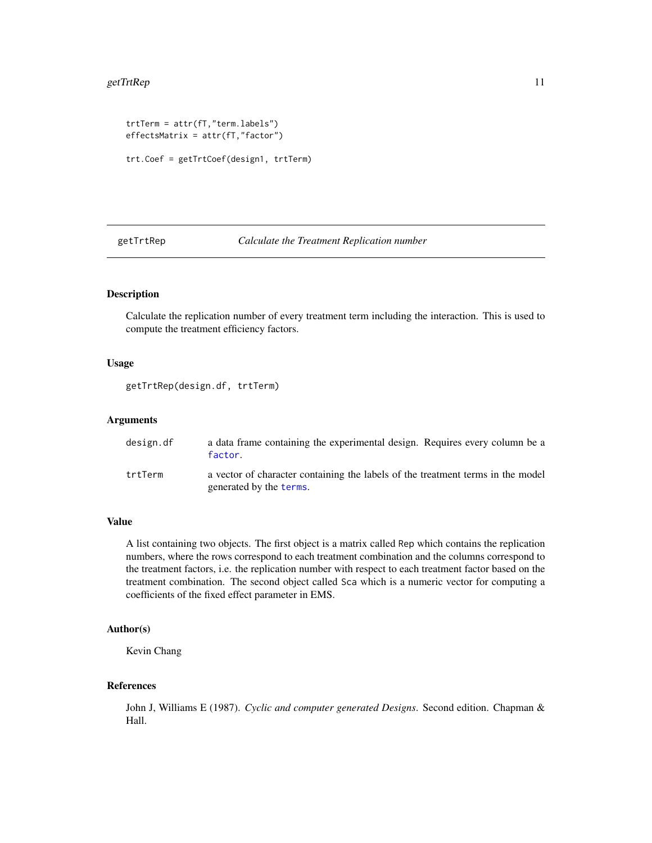#### <span id="page-10-0"></span> $getTr{}$ Rep 11

```
trtTerm = attr(fT,"term.labels")
effectsMatrix = attr(fT,"factor")
trt.Coef = getTrtCoef(design1, trtTerm)
```
<span id="page-10-1"></span>getTrtRep *Calculate the Treatment Replication number*

### Description

Calculate the replication number of every treatment term including the interaction. This is used to compute the treatment efficiency factors.

# Usage

```
getTrtRep(design.df, trtTerm)
```
# Arguments

| design.df | a data frame containing the experimental design. Requires every column be a<br>factor.                     |
|-----------|------------------------------------------------------------------------------------------------------------|
| trtTerm   | a vector of character containing the labels of the treatment terms in the model<br>generated by the terms. |

# Value

A list containing two objects. The first object is a matrix called Rep which contains the replication numbers, where the rows correspond to each treatment combination and the columns correspond to the treatment factors, i.e. the replication number with respect to each treatment factor based on the treatment combination. The second object called Sca which is a numeric vector for computing a coefficients of the fixed effect parameter in EMS.

#### Author(s)

Kevin Chang

#### References

John J, Williams E (1987). *Cyclic and computer generated Designs*. Second edition. Chapman & Hall.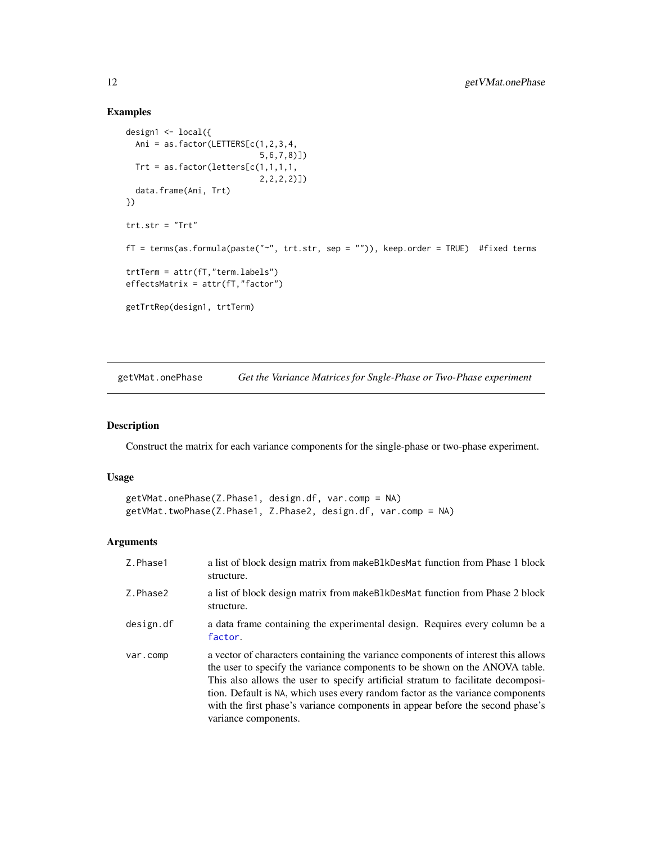## Examples

```
design1 <- local({
  Ani = as.factor(LETTERS[c(1,2,3,4,
                            5,6,7,8)])
 Trt = as.factor(letters[c(1,1,1,1,
                            2,2,2,2)])
  data.frame(Ani, Trt)
})
trt.str = "Trt"fT = terms(as.formula(paste("~", trt.str, sep = "")), keep.order = TRUE) #fixed terms
trtTerm = attr(fT,"term.labels")
effectsMatrix = attr(fT, "factor")getTrtRep(design1, trtTerm)
```
<span id="page-11-1"></span>getVMat.onePhase *Get the Variance Matrices for Sngle-Phase or Two-Phase experiment*

# <span id="page-11-2"></span>Description

Construct the matrix for each variance components for the single-phase or two-phase experiment.

#### Usage

```
getVMat.onePhase(Z.Phase1, design.df, var.comp = NA)
getVMat.twoPhase(Z.Phase1, Z.Phase2, design.df, var.comp = NA)
```
#### Arguments

| Z.Phase1  | a list of block design matrix from make BlkDesMat function from Phase 1 block<br>structure.                                                                                                                                                                                                                                                                                                                                                      |
|-----------|--------------------------------------------------------------------------------------------------------------------------------------------------------------------------------------------------------------------------------------------------------------------------------------------------------------------------------------------------------------------------------------------------------------------------------------------------|
| Z.Phase2  | a list of block design matrix from make Blk Des Mat function from Phase 2 block<br>structure.                                                                                                                                                                                                                                                                                                                                                    |
| design.df | a data frame containing the experimental design. Requires every column be a<br>factor.                                                                                                                                                                                                                                                                                                                                                           |
| var.comp  | a vector of characters containing the variance components of interest this allows<br>the user to specify the variance components to be shown on the ANOVA table.<br>This also allows the user to specify artificial stratum to facilitate decomposi-<br>tion. Default is NA, which uses every random factor as the variance components<br>with the first phase's variance components in appear before the second phase's<br>variance components. |

<span id="page-11-0"></span>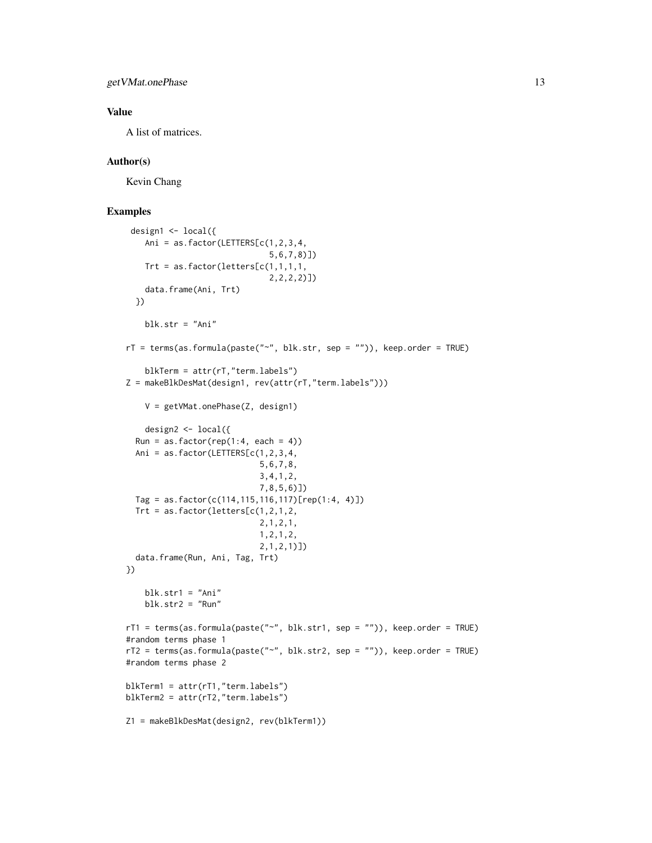getVMat.onePhase 13

#### Value

A list of matrices.

# Author(s)

Kevin Chang

```
design1 <- local({
   Ani = as.factor(LETTERS[c(1,2,3,4,
                              5,6,7,8)])
   Trt = as.factor(letters[c(1,1,1,1,
                              2,2,2,2)])
    data.frame(Ani, Trt)
  })
    blk.str = "Ani"rT = terms(as.formula(paste("~", blk.str, sep = "")), keep.order = TRUE)
    blkTerm = attr(rT,"term.labels")
Z = makeBlkDesMat(design1, rev(attr(rT,"term.labels")))
   V = getVMat.onePhase(Z, design1)
   design2 <- local({
  Run = as.factor(rep(1:4, each = 4))Ani = as.factor(LETTERS[c(1,2,3,4,5,6,7,8,
                            3,4,1,2,
                            7,8,5,6)])
  Tag = as.factor(c(114,115,116,117)[rep(1:4, 4)])
  Trt = as.factor(letters[c(1,2,1,2,2,1,2,1,
                            1,2,1,2,
                            2,1,2,1)])
  data.frame(Run, Ani, Tag, Trt)
})
    blk.str1 = "Ani"blk.str2 = "Run"rT1 = terms(as.formula(paste("~", blk.str1, sep = "")), keep.order = TRUE)
#random terms phase 1
rT2 = terms(as.formula(paste("~", blk.str2, sep = "")), keep.order = TRUE)
#random terms phase 2
blkTerm1 = attr(rT1,"term.labels")
blkTerm2 = attr(rT2,"term.labels")
Z1 = makeBlkDesMat(design2, rev(blkTerm1))
```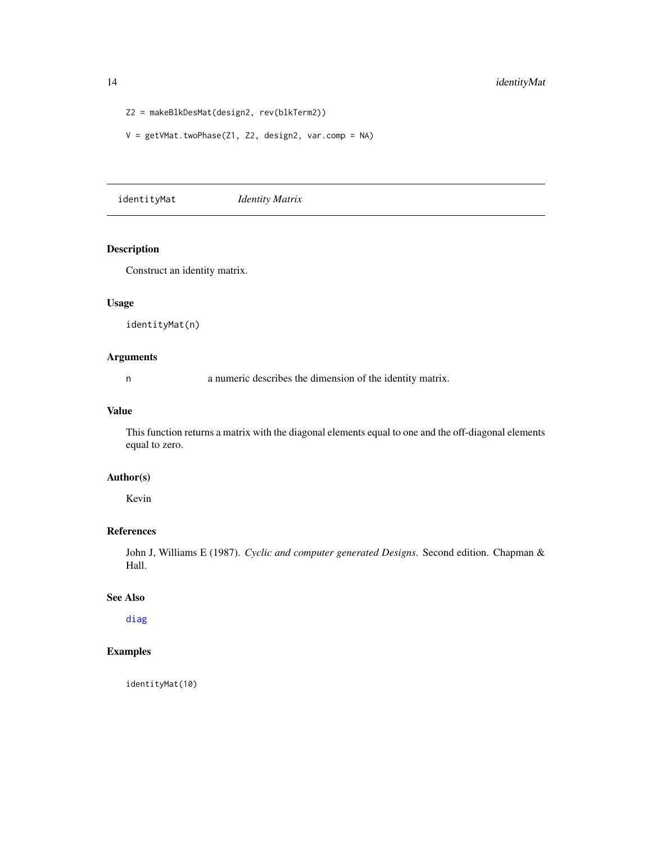```
Z2 = makeBlkDesMat(design2, rev(blkTerm2))
```
V = getVMat.twoPhase(Z1, Z2, design2, var.comp = NA)

identityMat *Identity Matrix*

# Description

Construct an identity matrix.

#### Usage

identityMat(n)

# Arguments

n a numeric describes the dimension of the identity matrix.

# Value

This function returns a matrix with the diagonal elements equal to one and the off-diagonal elements equal to zero.

#### Author(s)

Kevin

#### References

John J, Williams E (1987). *Cyclic and computer generated Designs*. Second edition. Chapman & Hall.

# See Also

[diag](#page-0-0)

# Examples

identityMat(10)

<span id="page-13-0"></span>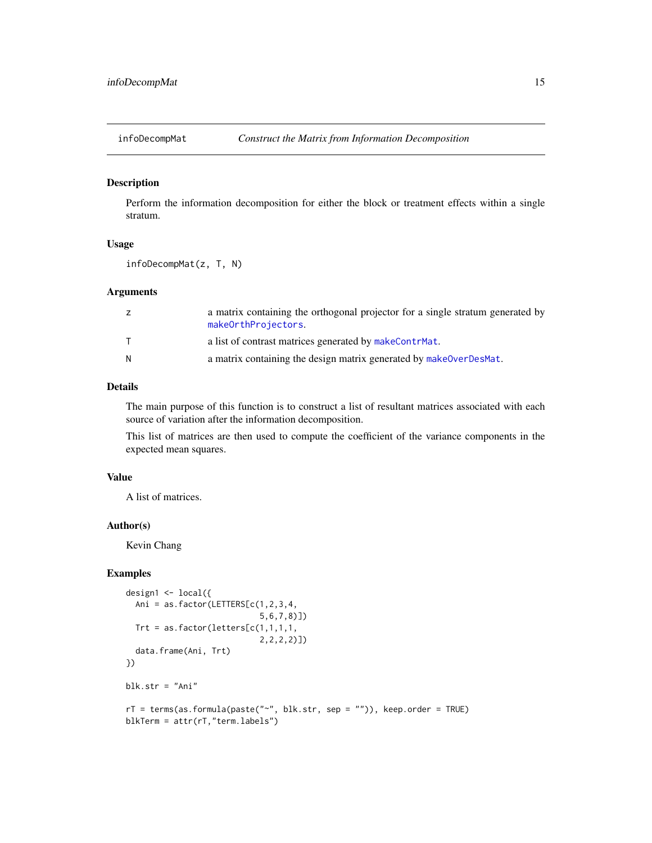<span id="page-14-1"></span><span id="page-14-0"></span>

#### Description

Perform the information decomposition for either the block or treatment effects within a single stratum.

#### Usage

infoDecompMat(z, T, N)

# Arguments

| z | a matrix containing the orthogonal projector for a single stratum generated by<br>makeOrthProjectors. |
|---|-------------------------------------------------------------------------------------------------------|
|   | a list of contrast matrices generated by makeContrMat.                                                |
| N | a matrix containing the design matrix generated by makeOverDesMat.                                    |

#### Details

The main purpose of this function is to construct a list of resultant matrices associated with each source of variation after the information decomposition.

This list of matrices are then used to compute the coefficient of the variance components in the expected mean squares.

#### Value

A list of matrices.

#### Author(s)

Kevin Chang

```
design1 <- local({
  Ani = as.factor(LETTERS[c(1,2,3,4,
                            5,6,7,8)])
  Trt = as.factor(letters[c(1,1,1,1,
                            2,2,2,2)])
  data.frame(Ani, Trt)
})
blk.str = "Ani"
rT = terms(as.formula(paste("~", blk.str, sep = "")), keep.order = TRUE)
blkTerm = attr(rT,"term.labels")
```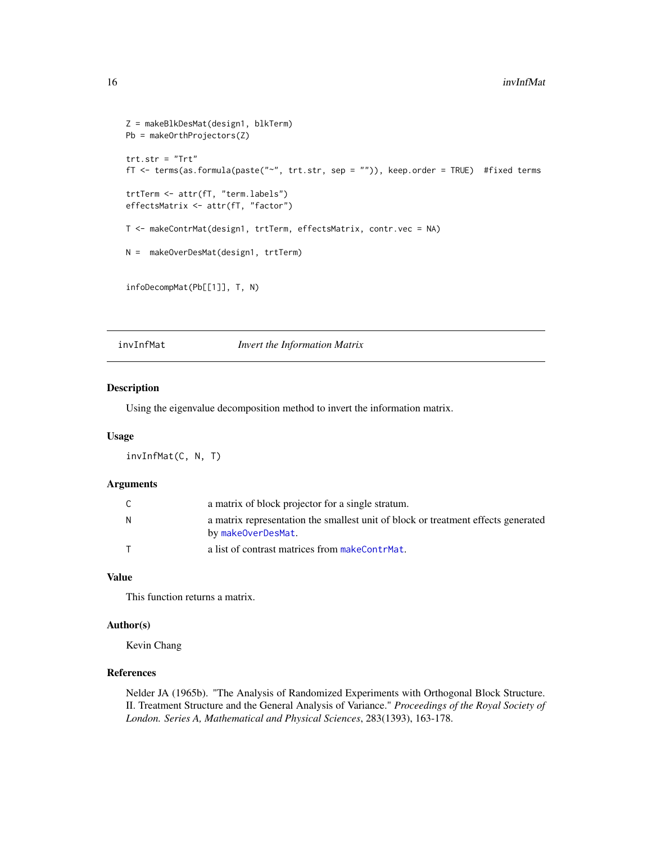```
Z = makeBlkDesMat(design1, blkTerm)
Pb = makeOrthProjectors(Z)
trt.str = "Trt"
fT <- terms(as.formula(paste("~", trt.str, sep = "")), keep.order = TRUE) #fixed terms
trtTerm <- attr(fT, "term.labels")
effectsMatrix <- attr(fT, "factor")
T <- makeContrMat(design1, trtTerm, effectsMatrix, contr.vec = NA)
N = makeOverDesMat(design1, trtTerm)
infoDecompMat(Pb[[1]], T, N)
```
invInfMat *Invert the Information Matrix*

#### Description

Using the eigenvalue decomposition method to invert the information matrix.

#### Usage

invInfMat(C, N, T)

#### Arguments

| C | a matrix of block projector for a single stratum.                                                       |
|---|---------------------------------------------------------------------------------------------------------|
| N | a matrix representation the smallest unit of block or treatment effects generated<br>by makeOverDesMat. |
|   | a list of contrast matrices from makeContrMat.                                                          |

#### Value

This function returns a matrix.

#### Author(s)

Kevin Chang

# References

Nelder JA (1965b). "The Analysis of Randomized Experiments with Orthogonal Block Structure. II. Treatment Structure and the General Analysis of Variance." *Proceedings of the Royal Society of London. Series A, Mathematical and Physical Sciences*, 283(1393), 163-178.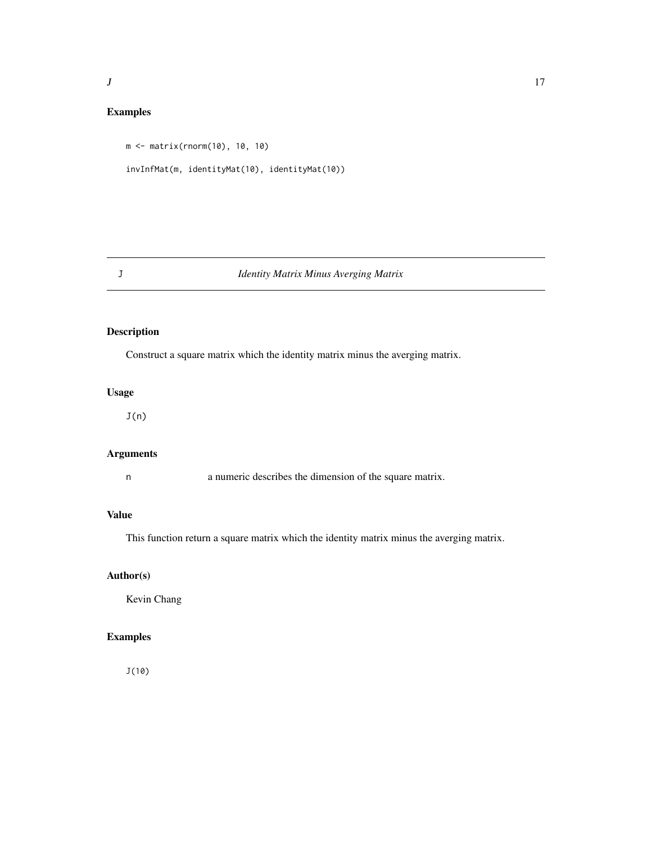# <span id="page-16-0"></span>Examples

```
m <- matrix(rnorm(10), 10, 10)
invInfMat(m, identityMat(10), identityMat(10))
```
# J *Identity Matrix Minus Averging Matrix*

# Description

Construct a square matrix which the identity matrix minus the averging matrix.

# Usage

 $J(n)$ 

# Arguments

n a numeric describes the dimension of the square matrix.

# Value

This function return a square matrix which the identity matrix minus the averging matrix.

# Author(s)

Kevin Chang

# Examples

J(10)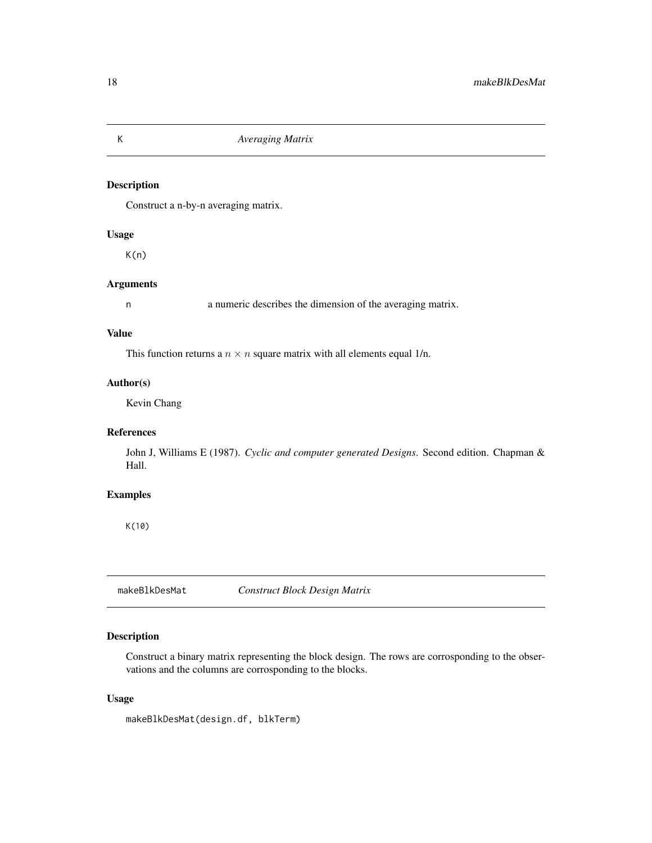# Description

Construct a n-by-n averaging matrix.

# Usage

K(n)

#### Arguments

n a numeric describes the dimension of the averaging matrix.

# Value

This function returns a  $n \times n$  square matrix with all elements equal 1/n.

# Author(s)

Kevin Chang

#### References

John J, Williams E (1987). *Cyclic and computer generated Designs*. Second edition. Chapman & Hall.

#### Examples

K(10)

<span id="page-17-1"></span>makeBlkDesMat *Construct Block Design Matrix*

# Description

Construct a binary matrix representing the block design. The rows are corrosponding to the observations and the columns are corrosponding to the blocks.

# Usage

makeBlkDesMat(design.df, blkTerm)

<span id="page-17-0"></span>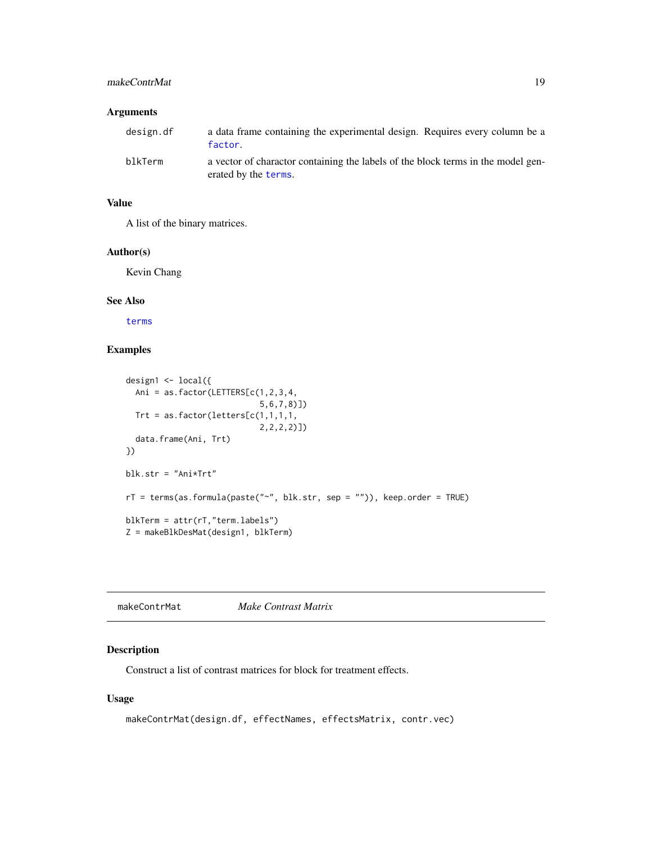#### <span id="page-18-0"></span>makeContrMat 19

#### Arguments

| design.df | a data frame containing the experimental design. Requires every column be a<br>factor.                   |
|-----------|----------------------------------------------------------------------------------------------------------|
| blkTerm   | a vector of charactor containing the labels of the block terms in the model gen-<br>erated by the terms. |

# Value

A list of the binary matrices.

#### Author(s)

Kevin Chang

#### See Also

[terms](#page-0-0)

# Examples

```
design1 <- local({
  Ani = as.factor(LETTERS[c(1,2,3,4,
                            5,6,7,8)])
 Trt = as.factor(letters[c(1,1,1,1,
                            2,2,2,2)])
  data.frame(Ani, Trt)
})
blk.str = "Ani*Trt"
rT = terms(as.formula(paste("~", blk.str, sep = "")), keep.order = TRUE)
blkTerm = attr(rT,"term.labels")
Z = makeBlkDesMat(design1, blkTerm)
```
<span id="page-18-1"></span>makeContrMat *Make Contrast Matrix*

# Description

Construct a list of contrast matrices for block for treatment effects.

# Usage

```
makeContrMat(design.df, effectNames, effectsMatrix, contr.vec)
```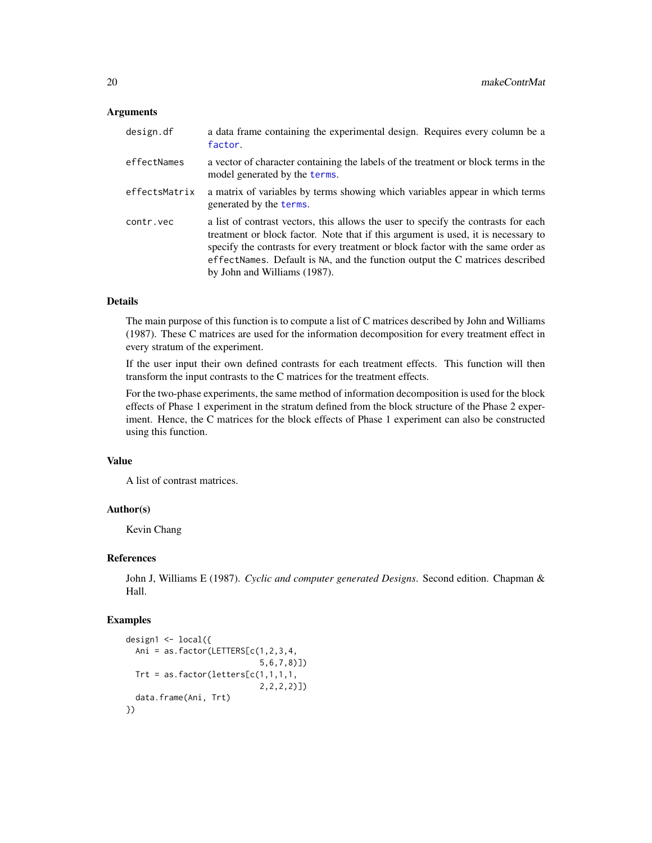#### <span id="page-19-0"></span>**Arguments**

| design.df     | a data frame containing the experimental design. Requires every column be a<br>factor.                                                                                                                                                                                                                                                                                      |
|---------------|-----------------------------------------------------------------------------------------------------------------------------------------------------------------------------------------------------------------------------------------------------------------------------------------------------------------------------------------------------------------------------|
| effectNames   | a vector of character containing the labels of the treatment or block terms in the<br>model generated by the terms.                                                                                                                                                                                                                                                         |
| effectsMatrix | a matrix of variables by terms showing which variables appear in which terms<br>generated by the terms.                                                                                                                                                                                                                                                                     |
| contr.vec     | a list of contrast vectors, this allows the user to specify the contrasts for each<br>treatment or block factor. Note that if this argument is used, it is necessary to<br>specify the contrasts for every treatment or block factor with the same order as<br>effectNames. Default is NA, and the function output the C matrices described<br>by John and Williams (1987). |

### Details

The main purpose of this function is to compute a list of C matrices described by John and Williams (1987). These C matrices are used for the information decomposition for every treatment effect in every stratum of the experiment.

If the user input their own defined contrasts for each treatment effects. This function will then transform the input contrasts to the C matrices for the treatment effects.

For the two-phase experiments, the same method of information decomposition is used for the block effects of Phase 1 experiment in the stratum defined from the block structure of the Phase 2 experiment. Hence, the C matrices for the block effects of Phase 1 experiment can also be constructed using this function.

#### Value

A list of contrast matrices.

# Author(s)

Kevin Chang

#### References

John J, Williams E (1987). *Cyclic and computer generated Designs*. Second edition. Chapman & Hall.

```
design1 \leftarrow \text{local} ({
  Ani = as.factor(LETTERS[c(1, 2, 3, 4,5,6,7,8)])
  Trt = as.factor(leftters[c(1,1,1,1,1,1))2,2,2,2)])
  data.frame(Ani, Trt)
})
```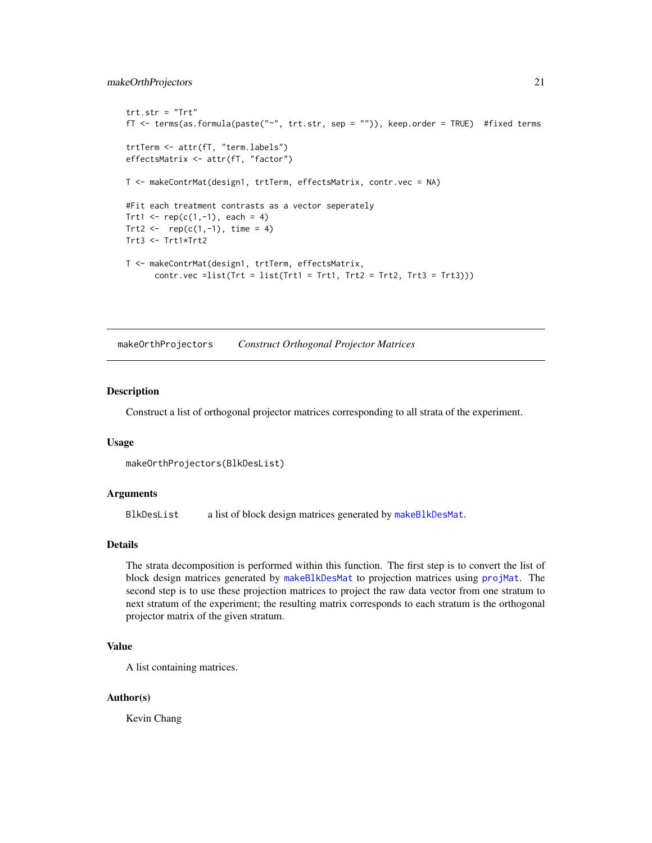#### <span id="page-20-0"></span>makeOrthProjectors 21

```
trt.str = "Trt"fT <- terms(as.formula(paste("~", trt.str, sep = "")), keep.order = TRUE) #fixed terms
trtTerm <- attr(fT, "term.labels")
effectsMatrix <- attr(fT, "factor")
T <- makeContrMat(design1, trtTerm, effectsMatrix, contr.vec = NA)
#Fit each treatment contrasts as a vector seperately
Trt1 <- rep(c(1, -1), each = 4)Trt2 \leq -\text{rep}(c(1, -1), \text{ time } = 4)Trt3 <- Trt1*Trt2
T <- makeContrMat(design1, trtTerm, effectsMatrix,
      contr.vec = list(Trt = list(Trt1 = Trt1, Trt2 = Trt2, Trt3 = Trt3)))
```
<span id="page-20-1"></span>makeOrthProjectors *Construct Orthogonal Projector Matrices*

#### **Description**

Construct a list of orthogonal projector matrices corresponding to all strata of the experiment.

#### Usage

```
makeOrthProjectors(BlkDesList)
```
#### Arguments

BlkDesList a list of block design matrices generated by [makeBlkDesMat](#page-17-1).

#### Details

The strata decomposition is performed within this function. The first step is to convert the list of block design matrices generated by [makeBlkDesMat](#page-17-1) to projection matrices using [projMat](#page-22-1). The second step is to use these projection matrices to project the raw data vector from one stratum to next stratum of the experiment; the resulting matrix corresponds to each stratum is the orthogonal projector matrix of the given stratum.

#### Value

A list containing matrices.

#### Author(s)

Kevin Chang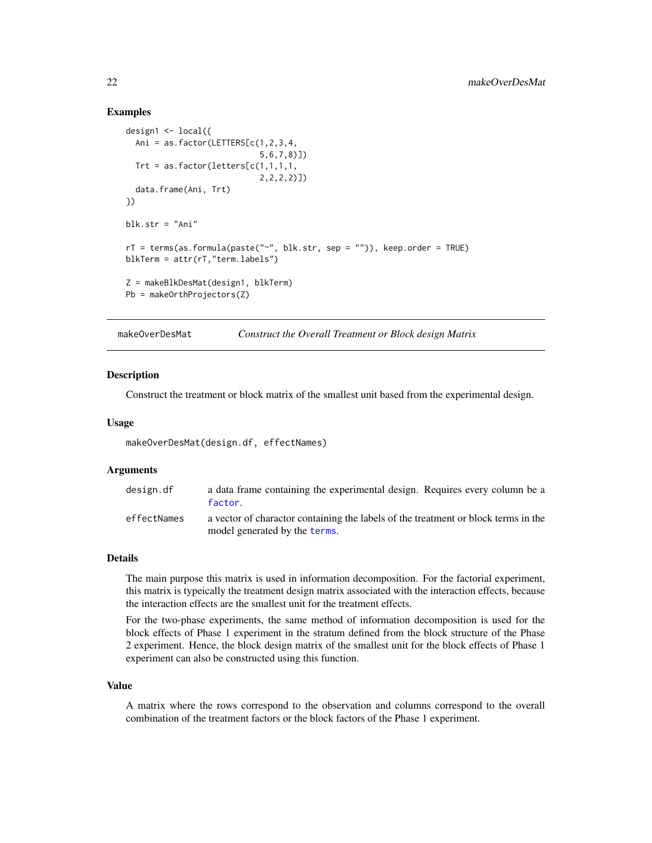#### <span id="page-21-0"></span>Examples

```
design1 <- local({
  Ani = as.factor(LETTERS[c(1,2,3,4,
                            5,6,7,8)])
  Trt = as.factor(leftters[c(1,1,1,1,1,2,2,2,2)])
  data.frame(Ani, Trt)
})
blk.str = "Ani"
rT = terms(as.formula(paste("~", blk.str, sep = "")), keep.order = TRUE)
blkTerm = attr(rT,"term.labels")
Z = makeBlkDesMat(design1, blkTerm)
Pb = makeOrthProjectors(Z)
```
<span id="page-21-1"></span>makeOverDesMat *Construct the Overall Treatment or Block design Matrix*

#### **Description**

Construct the treatment or block matrix of the smallest unit based from the experimental design.

#### Usage

makeOverDesMat(design.df, effectNames)

#### Arguments

| design.df   | a data frame containing the experimental design. Requires every column be a<br>factor.                              |
|-------------|---------------------------------------------------------------------------------------------------------------------|
| effectNames | a vector of charactor containing the labels of the treatment or block terms in the<br>model generated by the terms. |

#### Details

The main purpose this matrix is used in information decomposition. For the factorial experiment, this matrix is typeically the treatment design matrix associated with the interaction effects, because the interaction effects are the smallest unit for the treatment effects.

For the two-phase experiments, the same method of information decomposition is used for the block effects of Phase 1 experiment in the stratum defined from the block structure of the Phase 2 experiment. Hence, the block design matrix of the smallest unit for the block effects of Phase 1 experiment can also be constructed using this function.

#### Value

A matrix where the rows correspond to the observation and columns correspond to the overall combination of the treatment factors or the block factors of the Phase 1 experiment.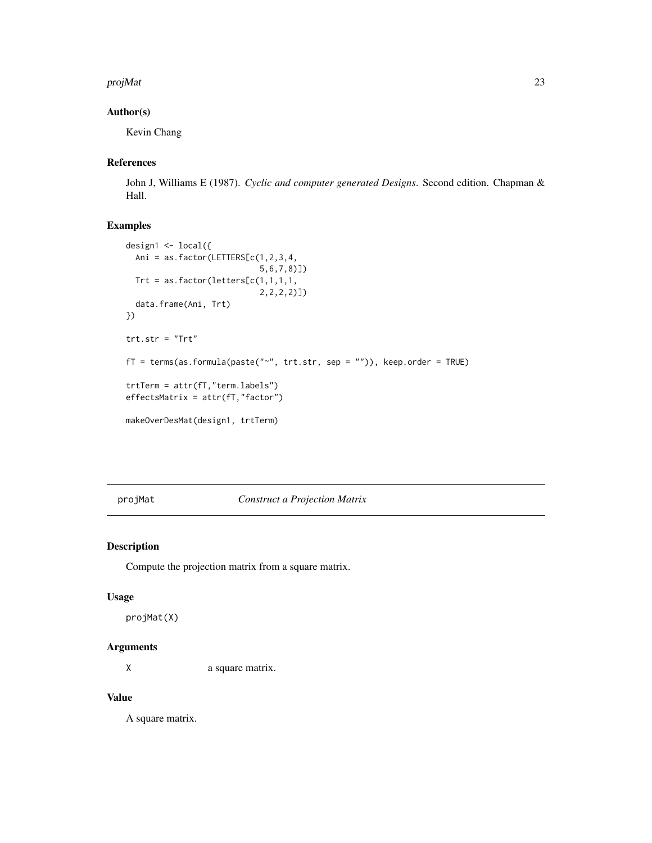#### <span id="page-22-0"></span>projMat 23

# Author(s)

Kevin Chang

#### References

John J, Williams E (1987). *Cyclic and computer generated Designs*. Second edition. Chapman & Hall.

# Examples

```
design1 <- local({
  Ani = as.factor(LETTERS[c(1,2,3,4,
                            5,6,7,8)])
 Trt = as.factor(letters[c(1,1,1,1,
                            2,2,2,2)])
  data.frame(Ani, Trt)
})
trt.str = "Trt"
fT = terms(as.formula(paste("~", trt.str, sep = "")), keep.order = TRUE)
trtTerm = attr(fT,"term.labels")
effectsMatrix = attr(fT,"factor")
makeOverDesMat(design1, trtTerm)
```
<span id="page-22-1"></span>projMat *Construct a Projection Matrix*

#### Description

Compute the projection matrix from a square matrix.

#### Usage

projMat(X)

# Arguments

X a square matrix.

# Value

A square matrix.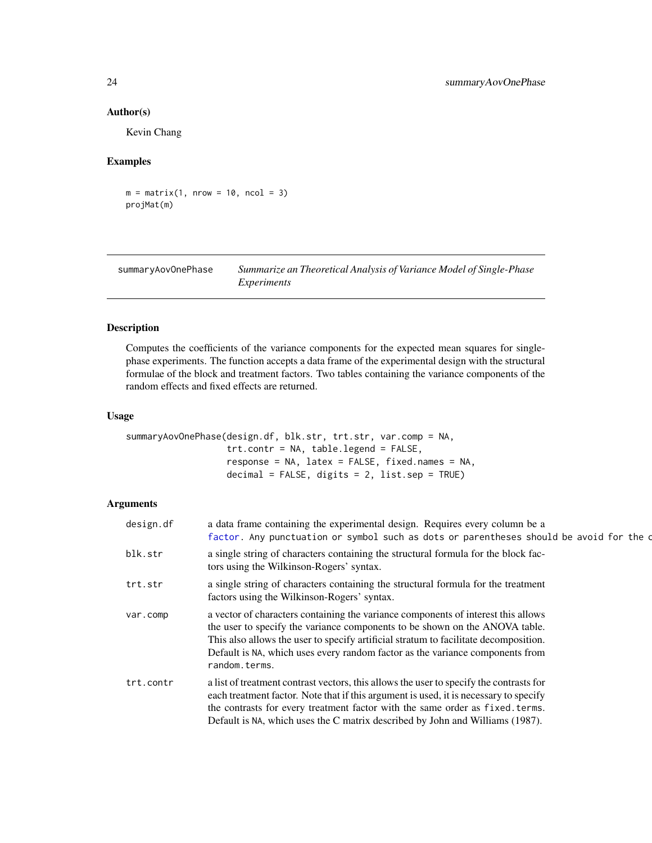#### Author(s)

Kevin Chang

#### Examples

 $m = matrix(1, nrow = 10, ncol = 3)$ projMat(m)

| summaryAovOnePhase | Summarize an Theoretical Analysis of Variance Model of Single-Phase |
|--------------------|---------------------------------------------------------------------|
|                    | Experiments                                                         |

# Description

Computes the coefficients of the variance components for the expected mean squares for singlephase experiments. The function accepts a data frame of the experimental design with the structural formulae of the block and treatment factors. Two tables containing the variance components of the random effects and fixed effects are returned.

# Usage

```
summaryAovOnePhase(design.df, blk.str, trt.str, var.comp = NA,
                   trt.contr = NA, table.legend = FALSE,
                   response = NA, latex = FALSE, fixed.names = NA,
                   decimal = FALSE, digits = 2, list.sep = TRUE)
```
# Arguments

| design.df | a data frame containing the experimental design. Requires every column be a<br>factor. Any punctuation or symbol such as dots or parentheses should be avoid for the o                                                                                                                                                                                     |
|-----------|------------------------------------------------------------------------------------------------------------------------------------------------------------------------------------------------------------------------------------------------------------------------------------------------------------------------------------------------------------|
| blk.str   | a single string of characters containing the structural formula for the block fac-<br>tors using the Wilkinson-Rogers' syntax.                                                                                                                                                                                                                             |
| trt.str   | a single string of characters containing the structural formula for the treatment<br>factors using the Wilkinson-Rogers' syntax.                                                                                                                                                                                                                           |
| var.comp  | a vector of characters containing the variance components of interest this allows<br>the user to specify the variance components to be shown on the ANOVA table.<br>This also allows the user to specify artificial stratum to facilitate decomposition.<br>Default is NA, which uses every random factor as the variance components from<br>random.terms. |
| trt.contr | a list of treatment contrast vectors, this allows the user to specify the contrasts for<br>each treatment factor. Note that if this argument is used, it is necessary to specify<br>the contrasts for every treatment factor with the same order as fixed. terms.<br>Default is NA, which uses the C matrix described by John and Williams (1987).         |

<span id="page-23-0"></span>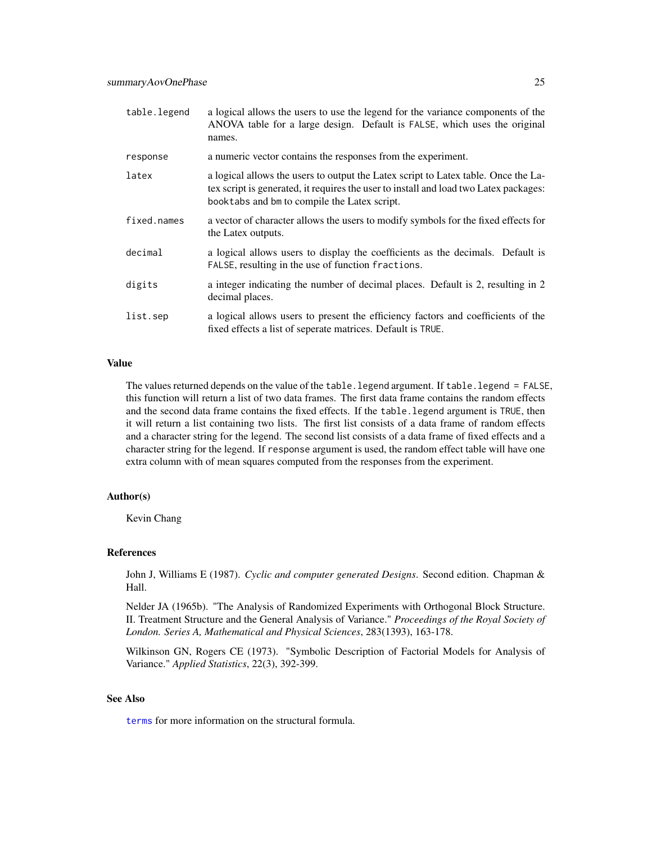<span id="page-24-0"></span>

| table.legend | a logical allows the users to use the legend for the variance components of the<br>ANOVA table for a large design. Default is FALSE, which uses the original<br>names.                                                       |
|--------------|------------------------------------------------------------------------------------------------------------------------------------------------------------------------------------------------------------------------------|
| response     | a numeric vector contains the responses from the experiment.                                                                                                                                                                 |
| latex        | a logical allows the users to output the Latex script to Latex table. Once the La-<br>tex script is generated, it requires the user to install and load two Latex packages:<br>book tabs and bm to compile the Latex script. |
| fixed.names  | a vector of character allows the users to modify symbols for the fixed effects for<br>the Latex outputs.                                                                                                                     |
| decimal      | a logical allows users to display the coefficients as the decimals. Default is<br>FALSE, resulting in the use of function fractions.                                                                                         |
| digits       | a integer indicating the number of decimal places. Default is 2, resulting in 2<br>decimal places.                                                                                                                           |
| list.sep     | a logical allows users to present the efficiency factors and coefficients of the<br>fixed effects a list of seperate matrices. Default is TRUE.                                                                              |

#### Value

The values returned depends on the value of the table.legend argument. If table.legend = FALSE, this function will return a list of two data frames. The first data frame contains the random effects and the second data frame contains the fixed effects. If the table.legend argument is TRUE, then it will return a list containing two lists. The first list consists of a data frame of random effects and a character string for the legend. The second list consists of a data frame of fixed effects and a character string for the legend. If response argument is used, the random effect table will have one extra column with of mean squares computed from the responses from the experiment.

#### Author(s)

Kevin Chang

#### References

John J, Williams E (1987). *Cyclic and computer generated Designs*. Second edition. Chapman & Hall.

Nelder JA (1965b). "The Analysis of Randomized Experiments with Orthogonal Block Structure. II. Treatment Structure and the General Analysis of Variance." *Proceedings of the Royal Society of London. Series A, Mathematical and Physical Sciences*, 283(1393), 163-178.

Wilkinson GN, Rogers CE (1973). "Symbolic Description of Factorial Models for Analysis of Variance." *Applied Statistics*, 22(3), 392-399.

# See Also

[terms](#page-0-0) for more information on the structural formula.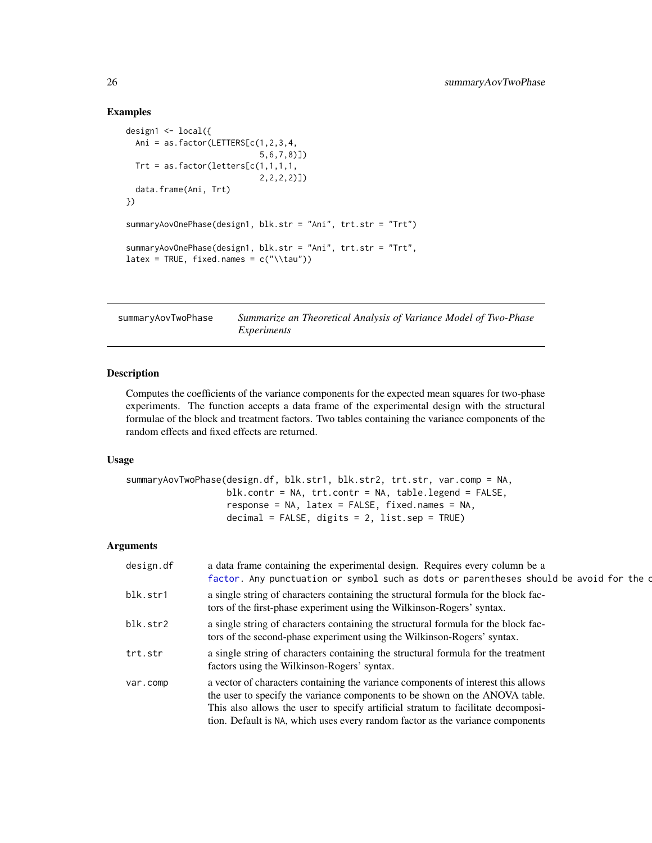# Examples

```
design1 <- local({
  Ani = as.factor(LETTERS[c(1,2,3,4,
                                5,6,7,8)])
  Trt = as.factor(leftters[c(1,1,1,1,1,2,2,2,2)])
  data.frame(Ani, Trt)
})
summaryAovOnePhase(design1, blk.str = "Ani", trt.str = "Trt")
summaryAovOnePhase(design1, blk.str = "Ani", trt.str = "Trt",
\text{latex} = \text{TRUE}, \text{fixed} \cdot \text{new} = \text{c("\\tau"))}
```
summaryAovTwoPhase *Summarize an Theoretical Analysis of Variance Model of Two-Phase Experiments*

# **Description**

Computes the coefficients of the variance components for the expected mean squares for two-phase experiments. The function accepts a data frame of the experimental design with the structural formulae of the block and treatment factors. Two tables containing the variance components of the random effects and fixed effects are returned.

### Usage

```
summaryAovTwoPhase(design.df, blk.str1, blk.str2, trt.str, var.comp = NA,
                   blk.contr = NA, trt.contr = NA, table.legend = FALSE,
                   response = NA, latex = FALSE, fixed.names = NA,
                   decimal = FALSE, digits = 2, list.sep = TRUE)
```
# Arguments

| design.df | a data frame containing the experimental design. Requires every column be a<br>factor. Any punctuation or symbol such as dots or parentheses should be avoid for the o                                                                                                                                                                 |
|-----------|----------------------------------------------------------------------------------------------------------------------------------------------------------------------------------------------------------------------------------------------------------------------------------------------------------------------------------------|
| blk.str1  | a single string of characters containing the structural formula for the block fac-<br>tors of the first-phase experiment using the Wilkinson-Rogers' syntax.                                                                                                                                                                           |
| blk.str2  | a single string of characters containing the structural formula for the block fac-<br>tors of the second-phase experiment using the Wilkinson-Rogers' syntax.                                                                                                                                                                          |
| trt.str   | a single string of characters containing the structural formula for the treatment<br>factors using the Wilkinson-Rogers' syntax.                                                                                                                                                                                                       |
| var.comp  | a vector of characters containing the variance components of interest this allows<br>the user to specify the variance components to be shown on the ANOVA table.<br>This also allows the user to specify artificial stratum to facilitate decomposi-<br>tion. Default is NA, which uses every random factor as the variance components |

<span id="page-25-0"></span>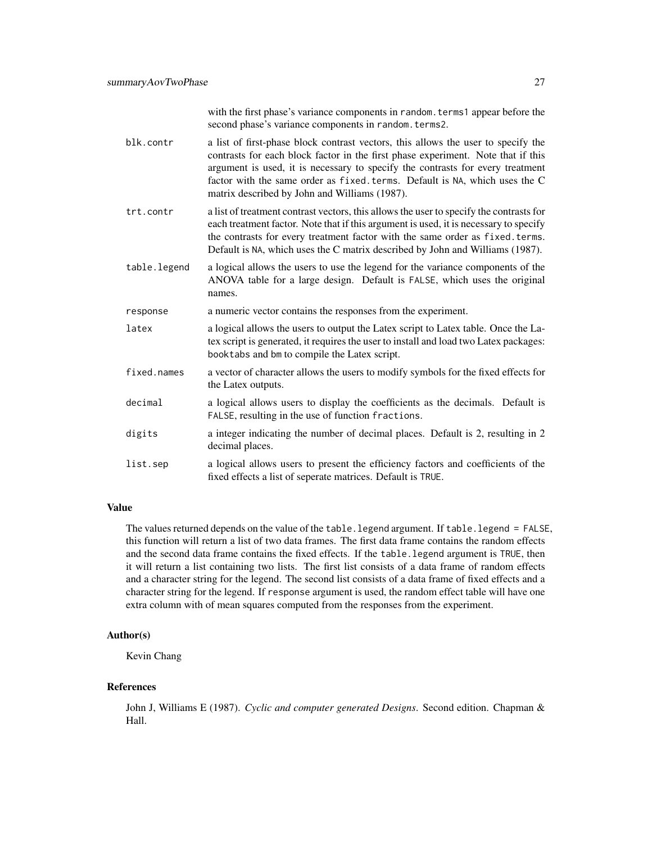with the first phase's variance components in random. terms1 appear before the second phase's variance components in random.terms2.

- blk.contr a list of first-phase block contrast vectors, this allows the user to specify the contrasts for each block factor in the first phase experiment. Note that if this argument is used, it is necessary to specify the contrasts for every treatment factor with the same order as fixed.terms. Default is NA, which uses the C matrix described by John and Williams (1987).
- trt.contr a list of treatment contrast vectors, this allows the user to specify the contrasts for each treatment factor. Note that if this argument is used, it is necessary to specify the contrasts for every treatment factor with the same order as fixed.terms. Default is NA, which uses the C matrix described by John and Williams (1987).
- table.legend a logical allows the users to use the legend for the variance components of the ANOVA table for a large design. Default is FALSE, which uses the original names.
- response a numeric vector contains the responses from the experiment.
- latex a logical allows the users to output the Latex script to Latex table. Once the Latex script is generated, it requires the user to install and load two Latex packages: booktabs and bm to compile the Latex script.
- fixed.names a vector of character allows the users to modify symbols for the fixed effects for the Latex outputs.
- decimal a logical allows users to display the coefficients as the decimals. Default is FALSE, resulting in the use of function fractions.
- digits a integer indicating the number of decimal places. Default is 2, resulting in 2 decimal places.
- list.sep a logical allows users to present the efficiency factors and coefficients of the fixed effects a list of seperate matrices. Default is TRUE.

#### Value

The values returned depends on the value of the table.legend argument. If table.legend = FALSE, this function will return a list of two data frames. The first data frame contains the random effects and the second data frame contains the fixed effects. If the table.legend argument is TRUE, then it will return a list containing two lists. The first list consists of a data frame of random effects and a character string for the legend. The second list consists of a data frame of fixed effects and a character string for the legend. If response argument is used, the random effect table will have one extra column with of mean squares computed from the responses from the experiment.

#### Author(s)

Kevin Chang

#### References

John J, Williams E (1987). *Cyclic and computer generated Designs*. Second edition. Chapman & Hall.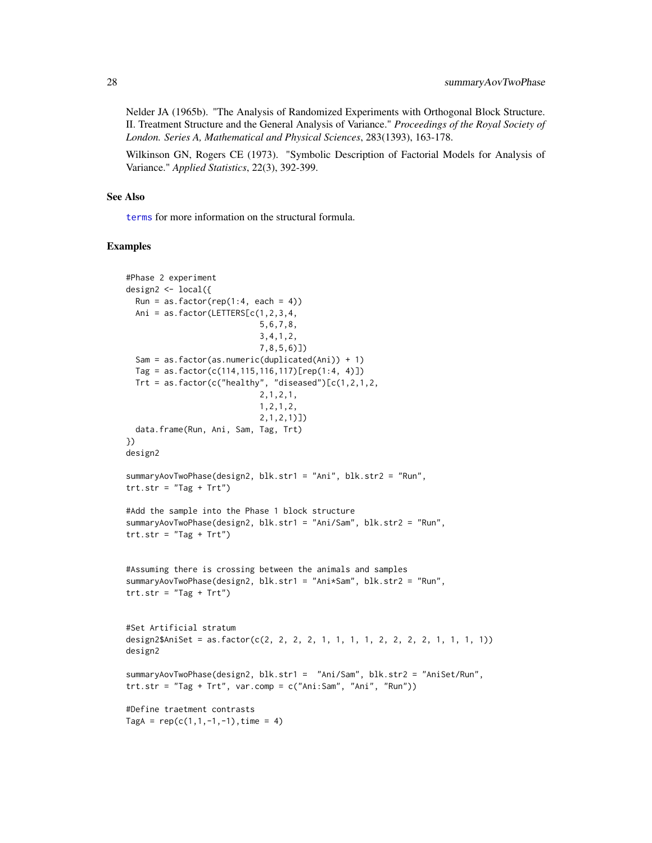<span id="page-27-0"></span>Nelder JA (1965b). "The Analysis of Randomized Experiments with Orthogonal Block Structure. II. Treatment Structure and the General Analysis of Variance." *Proceedings of the Royal Society of London. Series A, Mathematical and Physical Sciences*, 283(1393), 163-178.

Wilkinson GN, Rogers CE (1973). "Symbolic Description of Factorial Models for Analysis of Variance." *Applied Statistics*, 22(3), 392-399.

#### See Also

[terms](#page-0-0) for more information on the structural formula.

```
#Phase 2 experiment
design2 <- local({
 Run = as.factor(rep(1:4, each = 4))Ani = as.factor(LETTERS[c(1,2,3,4,
                            5,6,7,8,
                            3,4,1,2,
                            7,8,5,6)])
 Sam = as.factor(as.numeric(duplicated(Ani)) + 1)
 Tag = as.factor(c(114,115,116,117)[rep(1:4, 4)])
 Trt = as.factor(c("healthy", "diseased")[c(1,2,1,2,2,1,2,1,
                            1,2,1,2,
                            2,1,2,1)])
 data.frame(Run, Ani, Sam, Tag, Trt)
})
design2
summaryAovTwoPhase(design2, blk.str1 = "Ani", blk.str2 = "Run",
trt.str = "Tag + Trt")
#Add the sample into the Phase 1 block structure
summaryAovTwoPhase(design2, blk.str1 = "Ani/Sam", blk.str2 = "Run",
trt.str = "Tag + Trt")
#Assuming there is crossing between the animals and samples
summaryAovTwoPhase(design2, blk.str1 = "Ani*Sam", blk.str2 = "Run",
trt.str = "Tag + Trt")
#Set Artificial stratum
design2$AniSet = as.factor(c(2, 2, 2, 2, 1, 1, 1, 1, 2, 2, 2, 2, 1, 1, 1, 1))
design2
summaryAovTwoPhase(design2, blk.str1 = "Ani/Sam", blk.str2 = "AniSet/Run",
\text{trt.str} = "Tag + Trt", \text{var.comp} = c("Ani:Sam", "Ani", "Run"))#Define traetment contrasts
TagA = rep(c(1,1,-1,-1),time = 4)
```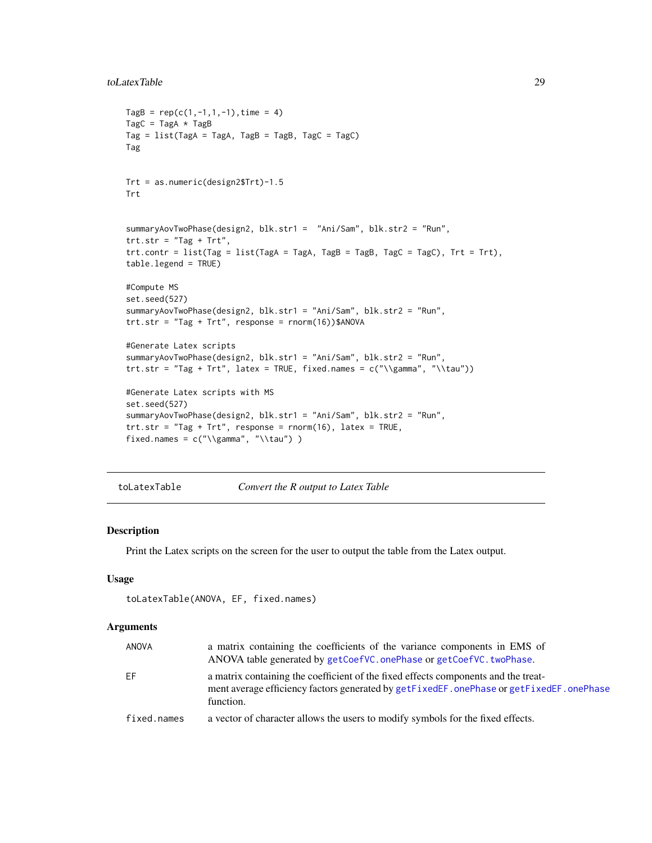#### <span id="page-28-0"></span>toLatexTable 29

```
TagB = rep(c(1, -1, 1, -1), time = 4)TagC = TagA * TagB
Tag = list(TagA = TagA, TagB = TagB, TagC = TagC)Tag
Trt = as.numeric(design2$Trt)-1.5
Trt
summaryAovTwoPhase(design2, blk.str1 = "Ani/Sam", blk.str2 = "Run",
trt.str = "Tag + Trt",
trt.contrib = list(Tag = list(TagA = TagA, TagB = TagB, TagC = TagC), Trt = Trt),table.legend = TRUE)
#Compute MS
set.seed(527)
summaryAovTwoPhase(design2, blk.str1 = "Ani/Sam", blk.str2 = "Run",
trt. str = "Tag + Trt", response = rnorm(16))$ANOVA
#Generate Latex scripts
summaryAovTwoPhase(design2, blk.str1 = "Ani/Sam", blk.str2 = "Run",
trt.str = "Tag + Trt", latex = TRUE, fixed.names = c("\\gamma", "\\tau"))
#Generate Latex scripts with MS
set.seed(527)
summaryAovTwoPhase(design2, blk.str1 = "Ani/Sam", blk.str2 = "Run",
trt.str = "Tag + Trt", response = rnorm(16), latex = TRUE,
fixed.names = c(" \gamma", " \lambda") )
```

| toLatexTable<br>Convert the R output to Latex Table |
|-----------------------------------------------------|
|-----------------------------------------------------|

#### Description

Print the Latex scripts on the screen for the user to output the table from the Latex output.

#### Usage

```
toLatexTable(ANOVA, EF, fixed.names)
```
#### Arguments

| ANOVA       | a matrix containing the coefficients of the variance components in EMS of<br>ANOVA table generated by getCoefVC.onePhase or getCoefVC.twoPhase.                                              |
|-------------|----------------------------------------------------------------------------------------------------------------------------------------------------------------------------------------------|
| EF          | a matrix containing the coefficient of the fixed effects components and the treat-<br>ment average efficiency factors generated by getFixedEF, onePhase or getFixedEF, onePhase<br>function. |
| fixed.names | a vector of character allows the users to modify symbols for the fixed effects.                                                                                                              |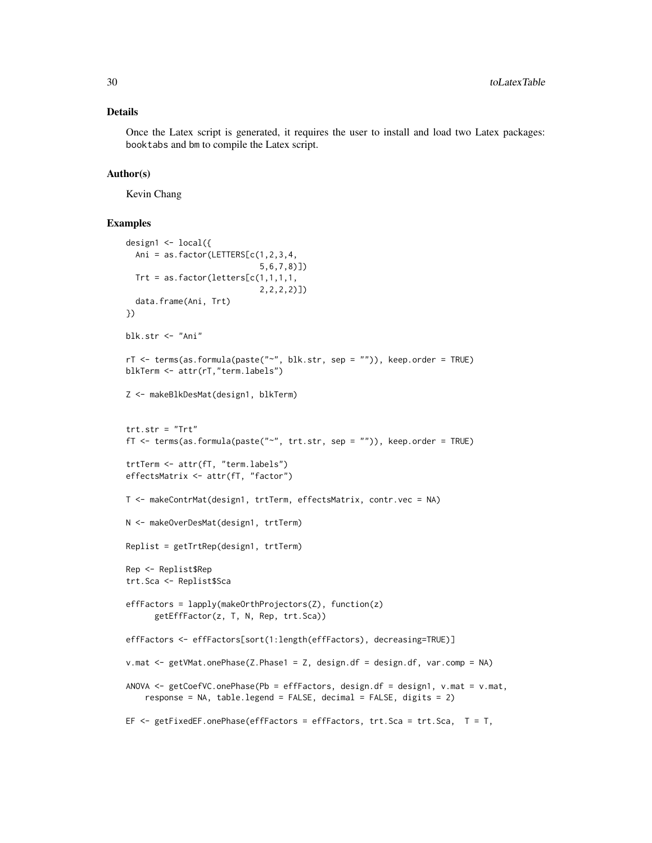#### Details

Once the Latex script is generated, it requires the user to install and load two Latex packages: booktabs and bm to compile the Latex script.

#### Author(s)

Kevin Chang

```
design1 <- local({
  Ani = as.factor(LETTERS[c(1,2,3,4,
                            5,6,7,8)])
  Trt = as.factor(letters[c(1,1,1,1,
                            2,2,2,2)])
  data.frame(Ani, Trt)
})
blk.str <- "Ani"
rT <- terms(as.formula(paste("~", blk.str, sep = "")), keep.order = TRUE)
blkTerm <- attr(rT,"term.labels")
Z <- makeBlkDesMat(design1, blkTerm)
trt.str = "Trt"
fT <- terms(as.formula(paste("~", trt.str, sep = "")), keep.order = TRUE)
trtTerm <- attr(fT, "term.labels")
effectsMatrix <- attr(fT, "factor")
T <- makeContrMat(design1, trtTerm, effectsMatrix, contr.vec = NA)
N <- makeOverDesMat(design1, trtTerm)
Replist = getTrtRep(design1, trtTerm)
Rep <- Replist$Rep
trt.Sca <- Replist$Sca
effFactors = lapply(makeOrthProjectors(Z), function(z)
      getEffFactor(z, T, N, Rep, trt.Sca))
effFactors <- effFactors[sort(1:length(effFactors), decreasing=TRUE)]
v.mat <- getVMat.onePhase(Z.Phase1 = Z, design.df = design.df, var.comp = NA)
ANOVA <- getCoefVC.onePhase(Pb = effFactors, design.df = design1, v.mat = v.mat,
    response = NA, table.legend = FALSE, decimal = FALSE, digits = 2)
EF <- getFixedEF.onePhase(effFactors = effFactors, trt.Sca = trt.Sca, T = T,
```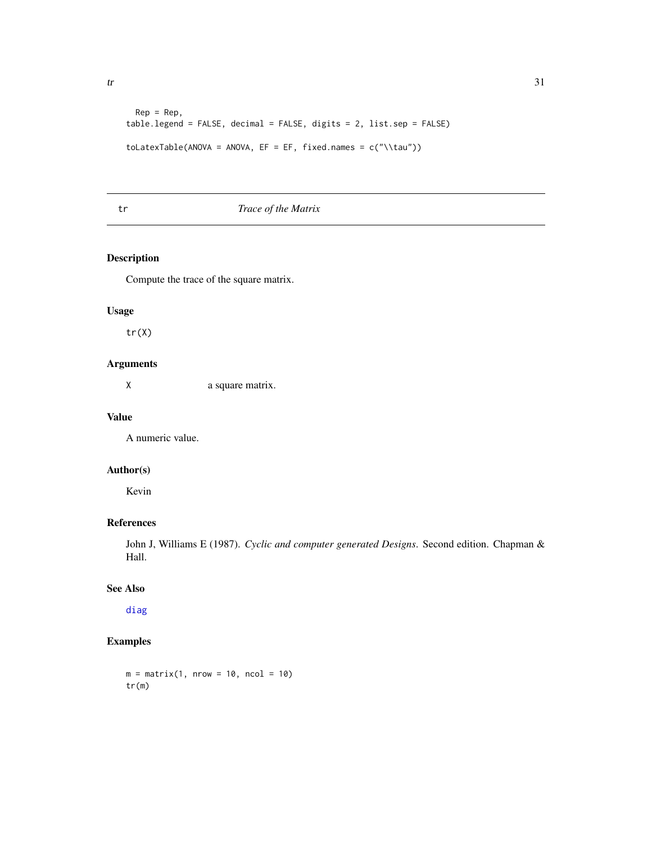<span id="page-30-0"></span>

```
Rep = Rep,table.legend = FALSE, decimal = FALSE, digits = 2, list.sep = FALSE)
toLatexTable(ANOVA = ANOVA, EF = EF, fixed.names = c("\\tau"))
```
# tr *Trace of the Matrix*

# Description

Compute the trace of the square matrix.

# Usage

tr(X)

# Arguments

X a square matrix.

# Value

A numeric value.

# Author(s)

Kevin

# References

John J, Williams E (1987). *Cyclic and computer generated Designs*. Second edition. Chapman & Hall.

# See Also

[diag](#page-0-0)

```
m = matrix(1, nrow = 10, ncol = 10)tr(m)
```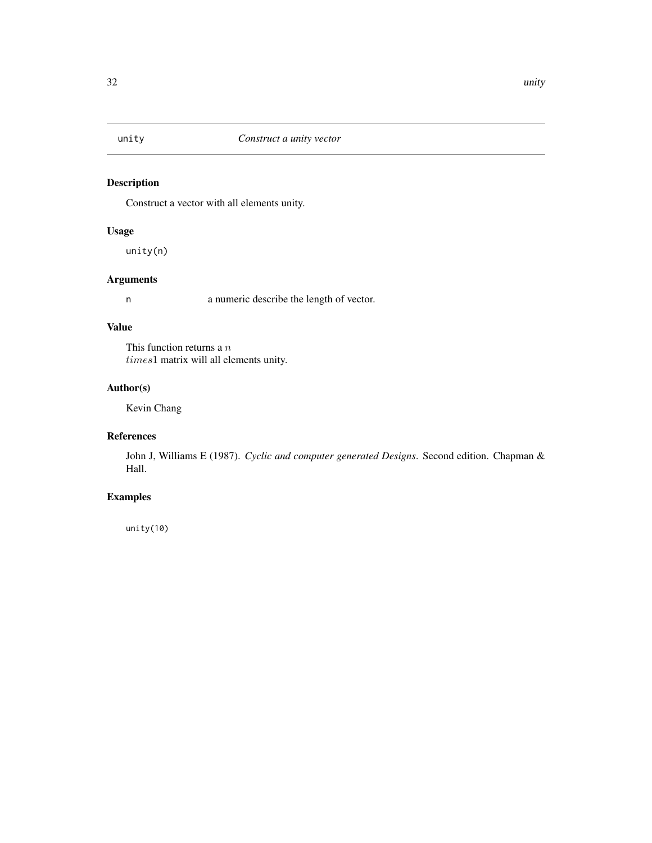<span id="page-31-0"></span>

# Description

Construct a vector with all elements unity.

# Usage

unity(n)

# Arguments

n a numeric describe the length of vector.

#### Value

This function returns a  $n$ times1 matrix will all elements unity.

## Author(s)

Kevin Chang

# References

John J, Williams E (1987). *Cyclic and computer generated Designs*. Second edition. Chapman & Hall.

# Examples

unity(10)